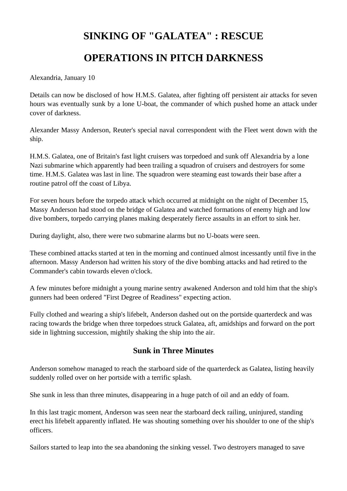## **SINKING OF "GALATEA" : RESCUE OPERATIONS IN PITCH DARKNESS**

Alexandria, January 10

Details can now be disclosed of how H.M.S. Galatea, after fighting off persistent air attacks for seven hours was eventually sunk by a lone U-boat, the commander of which pushed home an attack under cover of darkness.

Alexander Massy Anderson, Reuter's special naval correspondent with the Fleet went down with the ship.

H.M.S. Galatea, one of Britain's fast light cruisers was torpedoed and sunk off Alexandria by a lone Nazi submarine which apparently had been trailing a squadron of cruisers and destroyers for some time. H.M.S. Galatea was last in line. The squadron were steaming east towards their base after a routine patrol off the coast of Libya.

For seven hours before the torpedo attack which occurred at midnight on the night of December 15, Massy Anderson had stood on the bridge of Galatea and watched formations of enemy high and low dive bombers, torpedo carrying planes making desperately fierce assaults in an effort to sink her.

During daylight, also, there were two submarine alarms but no U-boats were seen.

These combined attacks started at ten in the morning and continued almost incessantly until five in the afternoon. Massy Anderson had written his story of the dive bombing attacks and had retired to the Commander's cabin towards eleven o'clock.

A few minutes before midnight a young marine sentry awakened Anderson and told him that the ship's gunners had been ordered "First Degree of Readiness" expecting action.

Fully clothed and wearing a ship's lifebelt, Anderson dashed out on the portside quarterdeck and was racing towards the bridge when three torpedoes struck Galatea, aft, amidships and forward on the port side in lightning succession, mightily shaking the ship into the air.

## **Sunk in Three Minutes**

Anderson somehow managed to reach the starboard side of the quarterdeck as Galatea, listing heavily suddenly rolled over on her portside with a terrific splash.

She sunk in less than three minutes, disappearing in a huge patch of oil and an eddy of foam.

In this last tragic moment, Anderson was seen near the starboard deck railing, uninjured, standing erect his lifebelt apparently inflated. He was shouting something over his shoulder to one of the ship's officers.

Sailors started to leap into the sea abandoning the sinking vessel. Two destroyers managed to save